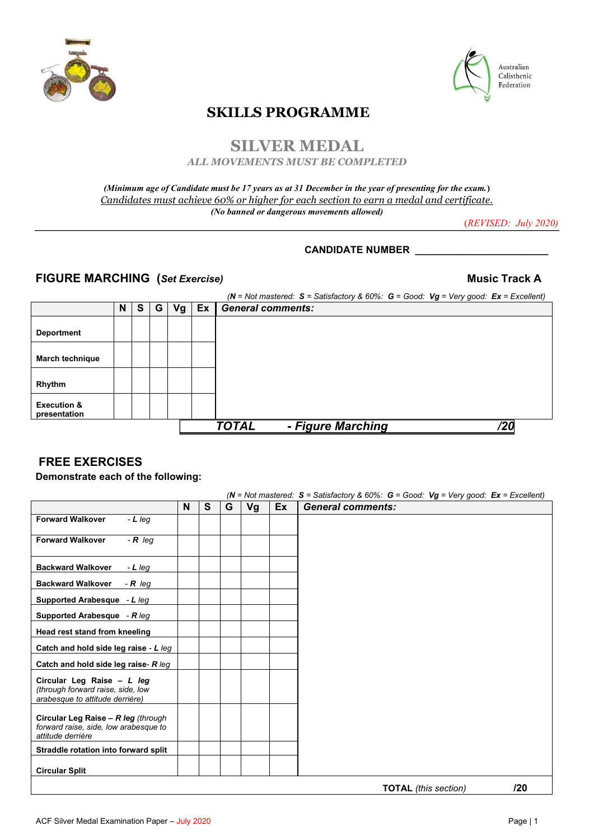



# **SKILLS PROGRAMME**

# **SILVER MEDAL**

*ALL MOVEMENTS MUST BE COMPLETED*

### *(Minimum age of Candidate must be 17 years as at 31 December in the year of presenting for the exam.***)**  *Candidates must achieve 60% or higher for each section to earn a medal and certificate. (No banned or dangerous movements allowed)*

(*REVISED: July 2020)*

## **CANDIDATE NUMBER \_\_\_\_\_\_\_\_\_\_\_\_\_\_\_\_\_\_\_\_\_\_\_\_**

## **FIGURE MARCHING (***Set Exercise)* **Music Track A**

|                                        |   |   |   |    |    | (N = Not mastered: $S =$ Satisfactory & 60%: $G =$ Good: $Vg = Very$ good: $Ex =$ Excellent) |
|----------------------------------------|---|---|---|----|----|----------------------------------------------------------------------------------------------|
|                                        | N | S | G | Vg | Ex | <b>General comments:</b>                                                                     |
| <b>Deportment</b>                      |   |   |   |    |    |                                                                                              |
| <b>March technique</b>                 |   |   |   |    |    |                                                                                              |
| Rhythm                                 |   |   |   |    |    |                                                                                              |
| <b>Execution &amp;</b><br>presentation |   |   |   |    |    |                                                                                              |
|                                        |   |   |   |    |    | - Figure Marching<br><b>TOTAL</b><br>/20                                                     |

## **FREE EXERCISES**

**Demonstrate each of the following:** 

|                                                                                                    |   |   |   |    |    | $(N = Not$ mastered: S = Satisfactory & 60%: G = Good: Vg = Very good: Ex = Excellent) |
|----------------------------------------------------------------------------------------------------|---|---|---|----|----|----------------------------------------------------------------------------------------|
|                                                                                                    | N | S | G | Vg | Ex | <b>General comments:</b>                                                               |
| <b>Forward Walkover</b><br>$-L$ leq                                                                |   |   |   |    |    |                                                                                        |
| $-R$ leq<br><b>Forward Walkover</b>                                                                |   |   |   |    |    |                                                                                        |
| <b>Backward Walkover</b><br>$-L$ leg                                                               |   |   |   |    |    |                                                                                        |
| <b>Backward Walkover</b><br>$-R$ leg                                                               |   |   |   |    |    |                                                                                        |
| Supported Arabesque - L leg                                                                        |   |   |   |    |    |                                                                                        |
| Supported Arabesque - $R \text{ leg}$                                                              |   |   |   |    |    |                                                                                        |
| Head rest stand from kneeling                                                                      |   |   |   |    |    |                                                                                        |
| Catch and hold side leg raise - L leg                                                              |   |   |   |    |    |                                                                                        |
| Catch and hold side leg raise- R leg                                                               |   |   |   |    |    |                                                                                        |
| Circular Leg Raise - L leg<br>(through forward raise, side, low<br>arabesque to attitude derrière) |   |   |   |    |    |                                                                                        |
| Circular Leg Raise - R leg (through<br>forward raise, side, low arabesque to<br>attitude derrière  |   |   |   |    |    |                                                                                        |
| Straddle rotation into forward split                                                               |   |   |   |    |    |                                                                                        |
| <b>Circular Split</b>                                                                              |   |   |   |    |    |                                                                                        |
|                                                                                                    |   |   |   |    |    | 120<br><b>TOTAL</b> (this section)                                                     |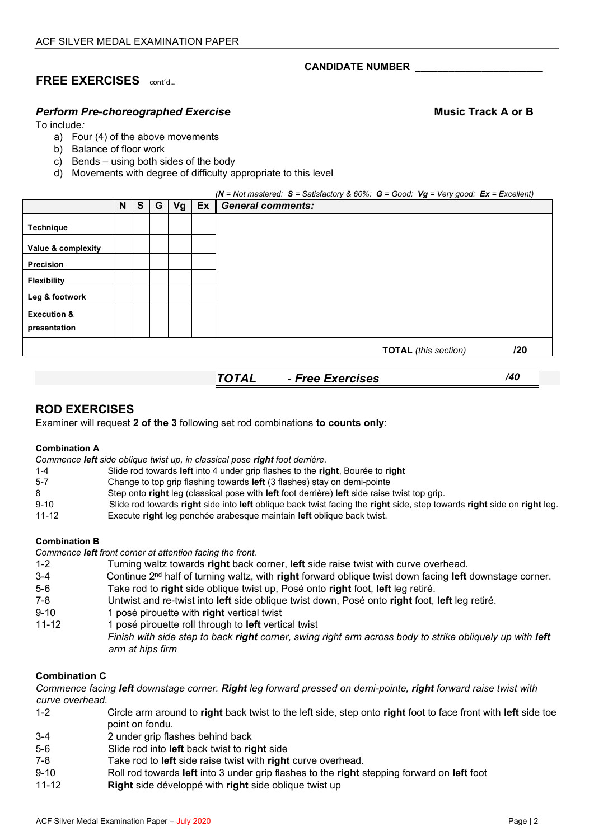# **FREE EXERCISES** cont'd…

## *Perform Pre-choreographed Exercise* **Music Track A or B**

To include*:* 

- a) Four (4) of the above movements
- b) Balance of floor work
- c) Bends using both sides of the body
- d) Movements with degree of difficulty appropriate to this level

|                        |   |   |   |    |    | (N = Not mastered: $S = S$ atisfactory & 60%: $G = Good$ : $Vg = Very good$ : $Ex = Excellent$ ) |
|------------------------|---|---|---|----|----|--------------------------------------------------------------------------------------------------|
|                        | N | S | G | Vg | Ex | <b>General comments:</b>                                                                         |
| <b>Technique</b>       |   |   |   |    |    |                                                                                                  |
| Value & complexity     |   |   |   |    |    |                                                                                                  |
| <b>Precision</b>       |   |   |   |    |    |                                                                                                  |
| <b>Flexibility</b>     |   |   |   |    |    |                                                                                                  |
| Leg & footwork         |   |   |   |    |    |                                                                                                  |
| <b>Execution &amp;</b> |   |   |   |    |    |                                                                                                  |
| presentation           |   |   |   |    |    |                                                                                                  |
|                        |   |   |   |    |    | חלו<br>$TOTAI$ (this section)                                                                    |

**TOTAL** *(this section)* 

*TOTAL - Free Exercises /40*

# **ROD EXERCISES**

Examiner will request **2 of the 3** following set rod combinations **to counts only**:

### **Combination A**

*Commence left side oblique twist up, in classical pose right foot derrière.* 

- 1-4 Slide rod towards **left** into 4 under grip flashes to the **right**, Bourée to **right**
- 5-7 Change to top grip flashing towards **left** (3 flashes) stay on demi-pointe
- 8 Step onto **right** leg (classical pose with **left** foot derrière) **left** side raise twist top grip.
- 9-10 Slide rod towards **right** side into **left** oblique back twist facing the **right** side, step towards **right** side on **right** leg.
- 11-12 Execute **right** leg penchée arabesque maintain **left** oblique back twist.

### **Combination B**

*Commence left front corner at attention facing the front.* 

| Turning waltz towards right back corner, left side raise twist with curve overhead.                       |
|-----------------------------------------------------------------------------------------------------------|
| Continue $2nd$ half of turning waltz, with right forward oblique twist down facing left downstage corner. |
| Take rod to right side oblique twist up, Posé onto right foot, left leg retiré.                           |
| Untwist and re-twist into left side oblique twist down, Posé onto right foot, left leg retiré.            |
| 1 posé pirouette with right vertical twist                                                                |
| 1 posé pirouette roll through to left vertical twist                                                      |
| Finish with side step to back right corner, swing right arm across body to strike obliquely up with left  |
| arm at hips firm                                                                                          |
|                                                                                                           |

### **Combination C**

*Commence facing left downstage corner. Right leg forward pressed on demi-pointe, right forward raise twist with curve overhead.* 

- 1-2 Circle arm around to **right** back twist to the left side, step onto **right** foot to face front with **left** side toe point on fondu.
- 3-4 2 under grip flashes behind back
- 5-6 Slide rod into **left** back twist to **right** side
- 7-8 Take rod to **left** side raise twist with **right** curve overhead.
- 9-10 Roll rod towards **left** into 3 under grip flashes to the **right** stepping forward on **left** foot
- 11-12 **Right** side développé with **right** side oblique twist up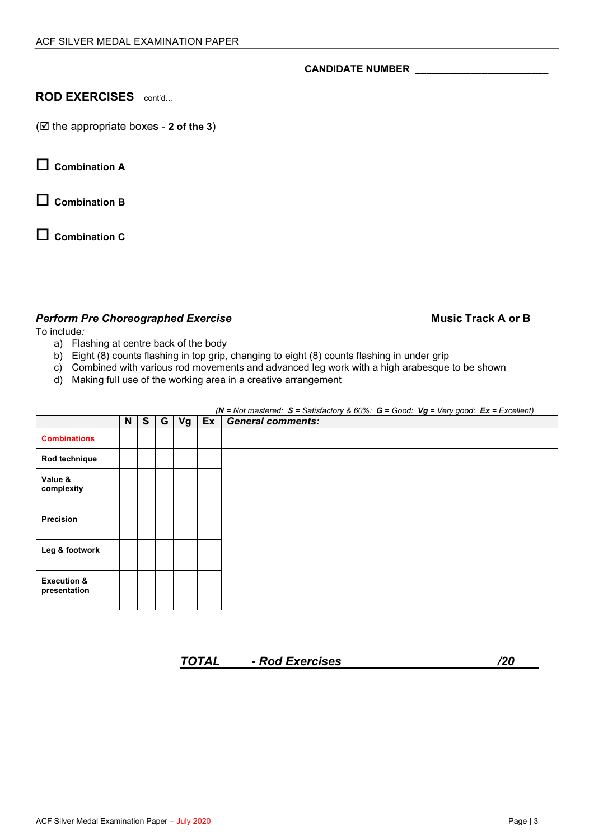## **ROD EXERCISES** cont'd...

( $\boxtimes$  the appropriate boxes - 2 of the 3)

**Combination A** 

**Combination B**

**Combination C**

## **Perform Pre Choreographed Exercise Music Track A or B Music Track A or B Music Track A or B**

To include*:* 

- a) Flashing at centre back of the body
- b) Eight (8) counts flashing in top grip, changing to eight (8) counts flashing in under grip
- c) Combined with various rod movements and advanced leg work with a high arabesque to be shown
- d) Making full use of the working area in a creative arrangement

|                                        | N | S | G | Vg | $Ex$ General comments: |
|----------------------------------------|---|---|---|----|------------------------|
| <b>Combinations</b>                    |   |   |   |    |                        |
| Rod technique                          |   |   |   |    |                        |
| Value &<br>complexity                  |   |   |   |    |                        |
| Precision                              |   |   |   |    |                        |
| Leg & footwork                         |   |   |   |    |                        |
| <b>Execution &amp;</b><br>presentation |   |   |   |    |                        |

*(N = Not mastered: S = Satisfactory & 60%: G = Good: Vg = Very good: Ex = Excellent)*

| <b>TOTAL</b> | - Rod Exercises | /20 |
|--------------|-----------------|-----|
|              |                 |     |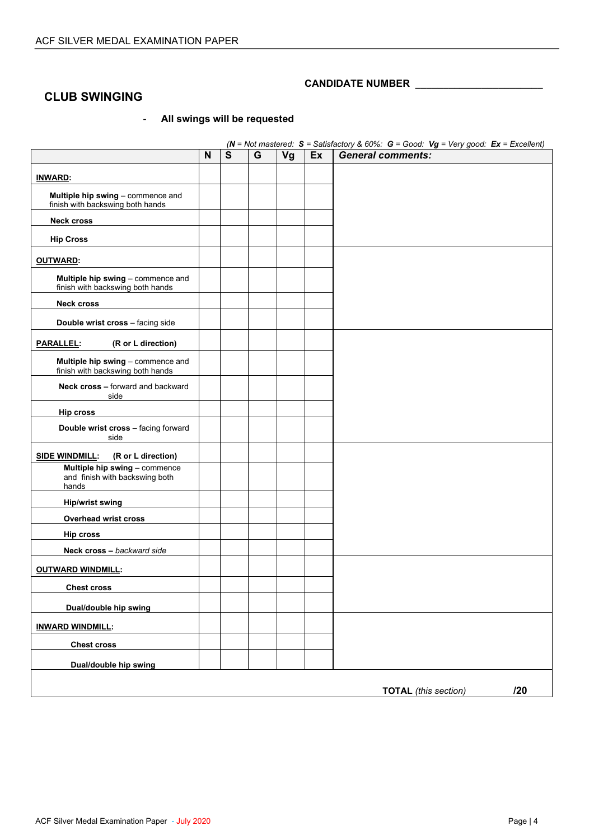## **CLUB SWINGING**

## - **All swings will be requested**

|                                                                          |   |   |   |    |    | ( $N = Not$ mastered: $S =$ Satisfactory & 60%: $G =$ Good: $Vg = Very$ good: $Ex =$ Excellent) |
|--------------------------------------------------------------------------|---|---|---|----|----|-------------------------------------------------------------------------------------------------|
|                                                                          | N | S | G | Vg | Ex | <b>General comments:</b>                                                                        |
| <b>INWARD:</b>                                                           |   |   |   |    |    |                                                                                                 |
| Multiple hip swing - commence and<br>finish with backswing both hands    |   |   |   |    |    |                                                                                                 |
| <b>Neck cross</b>                                                        |   |   |   |    |    |                                                                                                 |
| <b>Hip Cross</b>                                                         |   |   |   |    |    |                                                                                                 |
| <b>OUTWARD:</b>                                                          |   |   |   |    |    |                                                                                                 |
| Multiple hip swing - commence and<br>finish with backswing both hands    |   |   |   |    |    |                                                                                                 |
| <b>Neck cross</b>                                                        |   |   |   |    |    |                                                                                                 |
| Double wrist cross - facing side                                         |   |   |   |    |    |                                                                                                 |
| (R or L direction)<br>PARALLEL:                                          |   |   |   |    |    |                                                                                                 |
| Multiple hip swing - commence and<br>finish with backswing both hands    |   |   |   |    |    |                                                                                                 |
| Neck cross - forward and backward<br>side                                |   |   |   |    |    |                                                                                                 |
| <b>Hip cross</b>                                                         |   |   |   |    |    |                                                                                                 |
| Double wrist cross - facing forward<br>side                              |   |   |   |    |    |                                                                                                 |
| (R or L direction)<br><u>SIDE WINDMILL</u> :                             |   |   |   |    |    |                                                                                                 |
| Multiple hip swing - commence<br>and finish with backswing both<br>hands |   |   |   |    |    |                                                                                                 |
| <b>Hip/wrist swing</b>                                                   |   |   |   |    |    |                                                                                                 |
| <b>Overhead wrist cross</b>                                              |   |   |   |    |    |                                                                                                 |
| <b>Hip cross</b>                                                         |   |   |   |    |    |                                                                                                 |
| Neck cross - backward side                                               |   |   |   |    |    |                                                                                                 |
| <b>OUTWARD WINDMILL:</b>                                                 |   |   |   |    |    |                                                                                                 |
| <b>Chest cross</b>                                                       |   |   |   |    |    |                                                                                                 |
| Dual/double hip swing                                                    |   |   |   |    |    |                                                                                                 |
| <b>INWARD WINDMILL:</b>                                                  |   |   |   |    |    |                                                                                                 |
| <b>Chest cross</b>                                                       |   |   |   |    |    |                                                                                                 |
| Dual/double hip swing                                                    |   |   |   |    |    |                                                                                                 |
|                                                                          |   |   |   |    |    | 120<br><b>TOTAL</b> (this section)                                                              |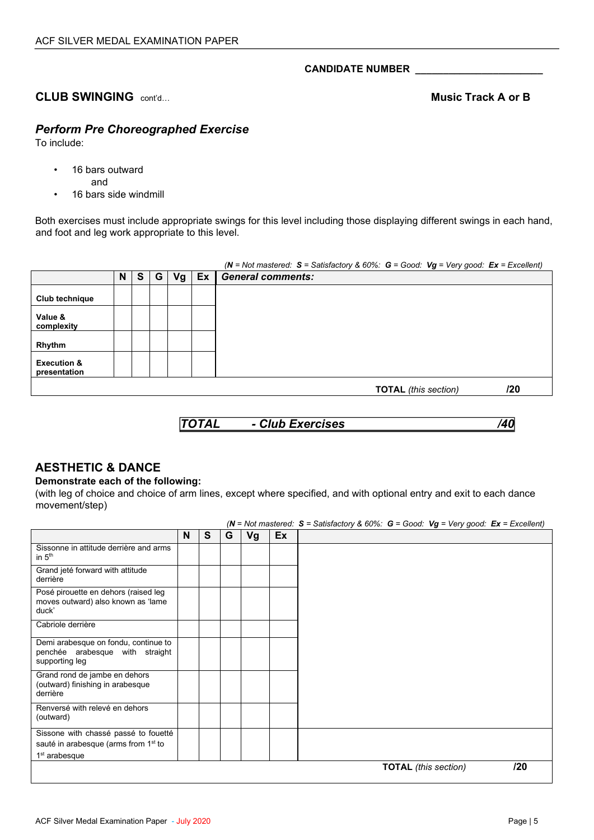## **CLUB SWINGING**  $\text{confd}$ ...

## *Perform Pre Choreographed Exercise*

To include:

- 16 bars outward
	- and
- 16 bars side windmill

Both exercises must include appropriate swings for this level including those displaying different swings in each hand, and foot and leg work appropriate to this level.

|                                        |   |          |   |    |    | (N = Not mastered: $S =$ Satisfactory & 60%: $G =$ Good: $Vg = Very$ good: $Ex =$ Excellent) |
|----------------------------------------|---|----------|---|----|----|----------------------------------------------------------------------------------------------|
|                                        | N | <b>S</b> | G | Vg | Ex | <b>General comments:</b>                                                                     |
| Club technique                         |   |          |   |    |    |                                                                                              |
| Value &<br>complexity                  |   |          |   |    |    |                                                                                              |
| Rhythm                                 |   |          |   |    |    |                                                                                              |
| <b>Execution &amp;</b><br>presentation |   |          |   |    |    |                                                                                              |
|                                        |   |          |   |    |    | /20<br><b>TOTAL</b> (this section)                                                           |

## **AESTHETIC & DANCE**

### **Demonstrate each of the following:**

(with leg of choice and choice of arm lines, except where specified, and with optional entry and exit to each dance movement/step)

|                                                                                           |   |   |   |    |    | ( $N = Not$ mastered: $S =$ Satisfactory & 60%: $G =$ Good: $Vg = Very$ good: $Ex =$ Excellent) |                             |     |
|-------------------------------------------------------------------------------------------|---|---|---|----|----|-------------------------------------------------------------------------------------------------|-----------------------------|-----|
|                                                                                           | N | S | G | Vg | Ex |                                                                                                 |                             |     |
| Sissonne in attitude derrière and arms<br>in $5th$                                        |   |   |   |    |    |                                                                                                 |                             |     |
| Grand jeté forward with attitude<br>derrière                                              |   |   |   |    |    |                                                                                                 |                             |     |
| Posé pirouette en dehors (raised leg<br>moves outward) also known as 'lame<br>duck'       |   |   |   |    |    |                                                                                                 |                             |     |
| Cabriole derrière                                                                         |   |   |   |    |    |                                                                                                 |                             |     |
| Demi arabesque on fondu, continue to<br>penchée arabesque with straight<br>supporting leg |   |   |   |    |    |                                                                                                 |                             |     |
| Grand rond de jambe en dehors<br>(outward) finishing in arabesque<br>derrière             |   |   |   |    |    |                                                                                                 |                             |     |
| Renversé with relevé en dehors<br>(outward)                                               |   |   |   |    |    |                                                                                                 |                             |     |
| Sissone with chassé passé to fouetté                                                      |   |   |   |    |    |                                                                                                 |                             |     |
| sauté in arabesque (arms from 1 <sup>st</sup> to                                          |   |   |   |    |    |                                                                                                 |                             |     |
| 1 <sup>st</sup> arabesque                                                                 |   |   |   |    |    |                                                                                                 |                             |     |
|                                                                                           |   |   |   |    |    |                                                                                                 | <b>TOTAL</b> (this section) | 120 |